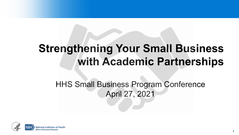# **Strengthening Your Small Business with Academic Partnerships**

# HHS Small Business Program Conference April 27, 2021

**1**

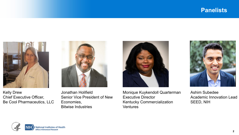#### **Panelists**



Kelly Drew Chief Executive Officer, Be Cool Pharmaceutics, LLC



Jonathan Holifield Senior Vice President of New Economies, Bitwise Industries



Monique Kuykendoll Quarterman Executive Director Kentucky Commercialization **Ventures** 



Ashim Subedee Academic Innovation Lead SEED, NIH

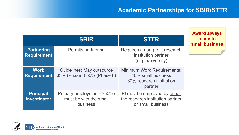#### **Academic Partnerships for SBIR/STTR**

**Award always** 

**made to**

**small business**

|                                         | <b>SBIR</b>                                                      | <b>STTR</b>                                                                                    |
|-----------------------------------------|------------------------------------------------------------------|------------------------------------------------------------------------------------------------|
| <b>Partnering</b><br><b>Requirement</b> | <b>Permits partnering</b>                                        | Requires a non-profit research<br>institution partner<br>(e.g., university)                    |
| <b>Work</b><br><b>Requirement</b>       | <b>Guidelines: May outsource</b><br>33% (Phase I) 50% (Phase II) | <b>Minimum Work Requirements:</b><br>40% small business<br>30% research institution<br>partner |
| <b>Principal</b><br>Investigator        | Primary employment (>50%)<br>must be with the small<br>business  | PI may be employed by either<br>the research institution partner<br>or small business          |

**National Institutes of Health Office of Extramural Research**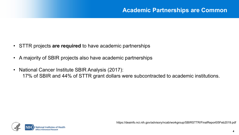- STTR projects **are required** to have academic partnerships
- A majority of SBIR projects also have academic partnerships
- National Cancer Institute SBIR Analysis (2017): 17% of SBIR and 44% of STTR grant dollars were subcontracted to academic institutions.

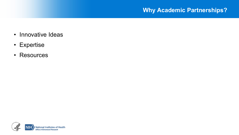#### **Why Academic Partnerships?**

- Innovative Ideas
- Expertise
- Resources

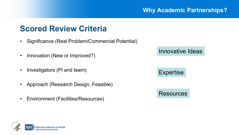## **Scored Review Criteria**

- Significance (Real Problem/Commercial Potential)
- Innovation (New or Improved?)
- Investigators (PI and team)
- Approach (Research Design, Feasible)
- Environment (Facilities/Resources)

Innovative Ideas

#### **Expertise**

**Resources** 

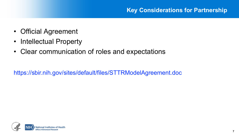- Official Agreement
- Intellectual Property
- Clear communication of roles and expectations

https://sbir.nih.gov/sites/default/files/STTRModelAgreement.doc

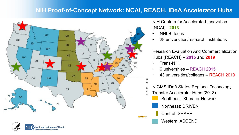#### **NIH Proof-of-Concept Network: NCAI, REACH, IDeA Accelerator Hubs**





#### NIH Centers for Accelerated Innovation (NCAI) - **2013**

- **NHLBI** focus
- 28 universities/research institutions

Research Evaluation And Commercialization Hubs (REACH) – **2015** and **2019**

- Trans-NIH
- 6 universities REACH 2015
- 43 universities/colleges REACH 2019
- NIGMS IDeA States Regional Technology Dri
- Transfer Accelerator Hubs (2018)
	- Southeast: XLerator Network
	- Northeast: DRIVEN

Central: SHARP

Western: ASCEND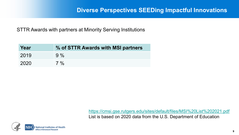STTR Awards with partners at Minority Serving Institutions

| Year | % of STTR Awards with MSI partners |
|------|------------------------------------|
| 2019 | $9\%$                              |
| 2020 | $7\%$                              |

<https://cmsi.gse.rutgers.edu/sites/default/files/MSI%20List%202021.pdf> List is based on 2020 data from the U.S. Department of Education

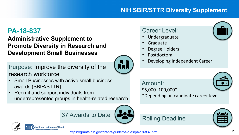### **NIH SBIR/STTR Diversity Supplement**

### **[PA-18-837](https://grants.nih.gov/grants/guide/pa-files/pa-18-837.html)**

#### **Administrative Supplement to Promote Diversity in Research and Development Small Businesses**

Purpose: Improve the diversity of the research workforce

- Small Businesses with active small business awards (SBIR/STTR)
- Recruit and support individuals from underrepresented groups in health-related research





- Graduate
- Degree Holders

Rolling Deadline

- **Postdoctoral**
- Developing Independent Career

Amount: \$5,000- 100,000\* \*Depending on candidate career level





https://grants.nih.gov/grants/guide/pa-files/pa-18-837.html **<sup>10</sup>**

鼺